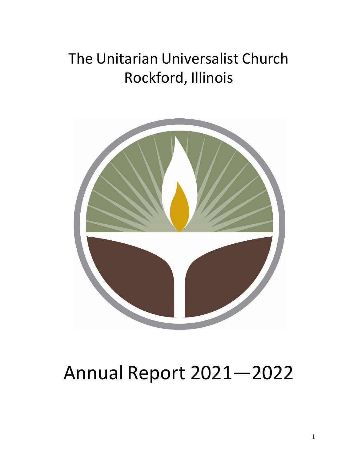# The Unitarian Universalist Church Rockford, Illinois



# Annual Report 2021—2022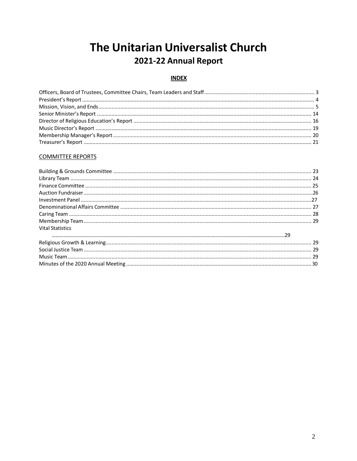### The Unitarian Universalist Church 2021-22 Annual Report

#### **INDEX**

#### **COMMITTEE REPORTS**

| <b>Vital Statistics</b> |  |
|-------------------------|--|
|                         |  |
|                         |  |
|                         |  |
|                         |  |
|                         |  |
|                         |  |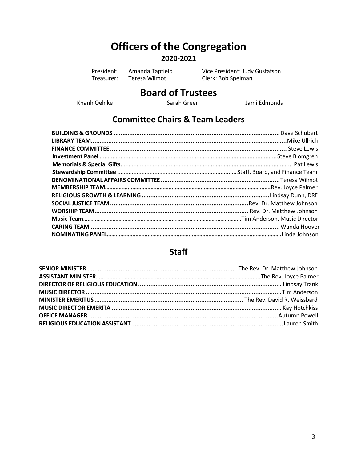### **Officers of the Congregation 2020-2021**

President: Amanda Tapfield Vice President: Judy Gustafson<br>
Treasurer: Teresa Wilmot Clerk: Bob Spelman Clerk: Bob Spelman

# **Board of Trustees**

Khanh Oehlke Sarah Greer Sarah Green Jami Edmonds

#### **Committee Chairs & Team Leaders**

#### **Staff**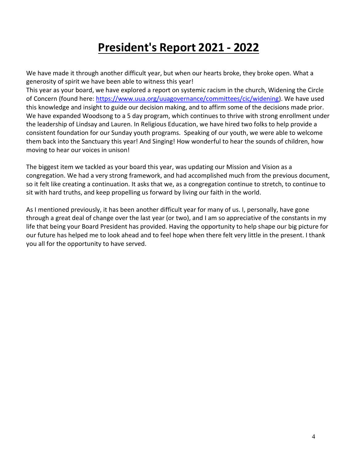# **President's Report 2021 - 2022**

We have made it through another difficult year, but when our hearts broke, they broke open. What a generosity of spirit we have been able to witness this year!

This year as your board, we have explored a report on systemic racism in the church, Widening the Circle of Concern (found here: [https://www.uua.org/uuagovernance/committees/cic/widening\)](https://www.uua.org/uuagovernance/committees/cic/widening). We have used this knowledge and insight to guide our decision making, and to affirm some of the decisions made prior. We have expanded Woodsong to a 5 day program, which continues to thrive with strong enrollment under the leadership of Lindsay and Lauren. In Religious Education, we have hired two folks to help provide a consistent foundation for our Sunday youth programs. Speaking of our youth, we were able to welcome them back into the Sanctuary this year! And Singing! How wonderful to hear the sounds of children, how moving to hear our voices in unison!

The biggest item we tackled as your board this year, was updating our Mission and Vision as a congregation. We had a very strong framework, and had accomplished much from the previous document, so it felt like creating a continuation. It asks that we, as a congregation continue to stretch, to continue to sit with hard truths, and keep propelling us forward by living our faith in the world.

As I mentioned previously, it has been another difficult year for many of us. I, personally, have gone through a great deal of change over the last year (or two), and I am so appreciative of the constants in my life that being your Board President has provided. Having the opportunity to help shape our big picture for our future has helped me to look ahead and to feel hope when there felt very little in the present. I thank you all for the opportunity to have served.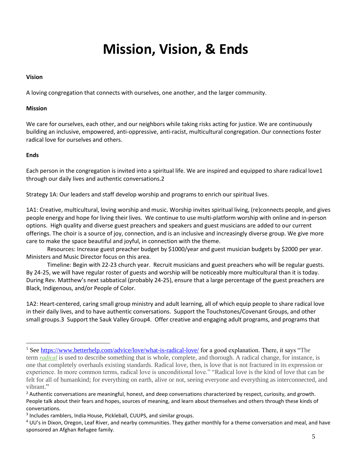# **Mission, Vision, & Ends**

#### **Vision**

A loving congregation that connects with ourselves, one another, and the larger community.

#### **Mission**

We care for ourselves, each other, and our neighbors while taking risks acting for justice. We are continuously building an inclusive, empowered, anti-oppressive, anti-racist, multicultural congregation. Our connections foster radical love for ourselves and others.

#### **Ends**

Each person in the congregation is invited into a spiritual life. We are inspired and equipped to share radical love1 through our daily lives and authentic conversations.2

Strategy 1A: Our leaders and staff develop worship and programs to enrich our spiritual lives.

1A1: Creative, multicultural, loving worship and music. Worship invites spiritual living, (re)connects people, and gives people energy and hope for living their lives. We continue to use multi-platform worship with online and in-person options. High quality and diverse guest preachers and speakers and guest musicians are added to our current offerings. The choir is a source of joy, connection, and is an inclusive and increasingly diverse group. We give more care to make the space beautiful and joyful, in connection with the theme.

Resources: Increase guest preacher budget by \$1000/year and guest musician budgets by \$2000 per year. Ministers and Music Director focus on this area.

Timeline: Begin with 22-23 church year. Recruit musicians and guest preachers who will be regular guests. By 24-25, we will have regular roster of guests and worship will be noticeably more multicultural than it is today. During Rev. Matthew's next sabbatical (probably 24-25), ensure that a large percentage of the guest preachers are Black, Indigenous, and/or People of Color.

1A2: Heart-centered, caring small group ministry and adult learning, all of which equip people to share radical love in their daily lives, and to have authentic conversations. Support the Touchstones/Covenant Groups, and other small groups.3 Support the Sauk Valley Group4. Offer creative and engaging adult programs, and programs that

<sup>&</sup>lt;sup>1</sup> See<https://www.betterhelp.com/advice/love/what-is-radical-love/> for a good explanation. There, it says "The term *[radical](https://www.google.com/search?client=safari&rls=en&q=radical+definition&ie=UTF-8&oe=UTF-8)* is used to describe something that is whole, complete, and thorough. A radical change, for instance, is one that completely overhauls existing standards. Radical love, then, is love that is not fractured in its expression or experience. In more common terms, radical love is unconditional love." "Radical love is the kind of love that can be felt for all of humankind; for everything on earth, alive or not, seeing everyone and everything as interconnected, and vibrant."

 $<sup>2</sup>$  Authentic conversations are meaningful, honest, and deep conversations characterized by respect, curiosity, and growth.</sup> People talk about their fears and hopes, sources of meaning, and learn about themselves and others through these kinds of conversations.

<sup>&</sup>lt;sup>3</sup> Includes ramblers, India House, Pickleball, CUUPS, and similar groups.

 $4$  UU's in Dixon, Oregon, Leaf River, and nearby communities. They gather monthly for a theme conversation and meal, and have sponsored an Afghan Refugee family.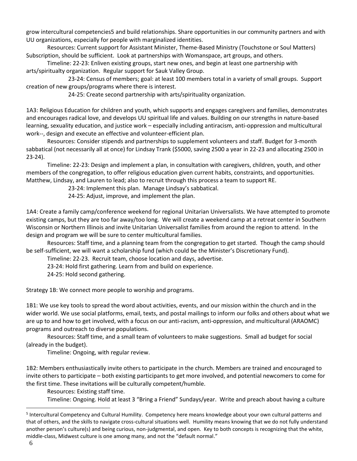grow intercultural competencies5 and build relationships. Share opportunities in our community partners and with UU organizations, especially for people with marginalized identities.

Resources: Current support for Assistant Minister, Theme-Based Ministry (Touchstone or Soul Matters) Subscription, should be sufficient. Look at partnerships with Womanspace, art groups, and others.

Timeline: 22-23: Enliven existing groups, start new ones, and begin at least one partnership with arts/spiritualty organization. Regular support for Sauk Valley Group.

23-24: Census of members; goal: at least 100 members total in a variety of small groups. Support creation of new groups/programs where there is interest.

24-25: Create second partnership with arts/spirituality organization.

1A3: Religious Education for children and youth, which supports and engages caregivers and families, demonstrates and encourages radical love, and develops UU spiritual life and values. Building on our strengths in nature-based learning, sexuality education, and justice work – especially including antiracism, anti-oppression and multicultural work--, design and execute an effective and volunteer-efficient plan.

Resources: Consider stipends and partnerships to supplement volunteers and staff. Budget for 3-month sabbatical (not necessarily all at once) for Lindsay Trank (\$5000, saving 2500 a year in 22-23 and allocating 2500 in 23-24).

Timeline: 22-23: Design and implement a plan, in consultation with caregivers, children, youth, and other members of the congregation, to offer religious education given current habits, constraints, and opportunities. Matthew, Lindsay, and Lauren to lead; also to recruit through this process a team to support RE.

23-24: Implement this plan. Manage Lindsay's sabbatical.

24-25: Adjust, improve, and implement the plan.

1A4: Create a family camp/conference weekend for regional Unitarian Universalists. We have attempted to promote existing camps, but they are too far away/too long. We will create a weekend camp at a retreat center in Southern Wisconsin or Northern Illinois and invite Unitarian Universalist families from around the region to attend. In the design and program we will be sure to center multicultural families.

Resources: Staff time, and a planning team from the congregation to get started. Though the camp should be self-sufficient, we will want a scholarship fund (which could be the Minister's Discretionary Fund).

Timeline: 22-23. Recruit team, choose location and days, advertise.

23-24: Hold first gathering. Learn from and build on experience.

24-25: Hold second gathering.

Strategy 1B: We connect more people to worship and programs.

1B1: We use key tools to spread the word about activities, events, and our mission within the church and in the wider world. We use social platforms, email, texts, and postal mailings to inform our folks and others about what we are up to and how to get involved, with a focus on our anti-racism, anti-oppression, and multicultural (ARAOMC) programs and outreach to diverse populations.

Resources: Staff time, and a small team of volunteers to make suggestions. Small ad budget for social (already in the budget).

Timeline: Ongoing, with regular review.

1B2: Members enthusiastically invite others to participate in the church. Members are trained and encouraged to invite others to participate – both existing participants to get more involved, and potential newcomers to come for the first time. These invitations will be culturally competent/humble.

Resources: Existing staff time.

Timeline: Ongoing. Hold at least 3 "Bring a Friend" Sundays/year. Write and preach about having a culture

<sup>&</sup>lt;sup>5</sup> Intercultural Competency and Cultural Humility. Competency here means knowledge about your own cultural patterns and that of others, and the skills to navigate cross-cultural situations well. Humility means knowing that we do not fully understand another person's culture(s) and being curious, non-judgmental, and open. Key to both concepts is recognizing that the white, middle-class, Midwest culture is one among many, and not the "default normal."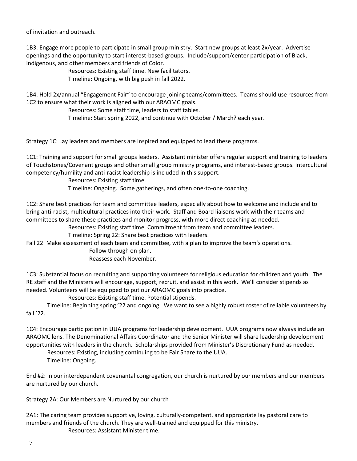of invitation and outreach.

1B3: Engage more people to participate in small group ministry. Start new groups at least 2x/year. Advertise openings and the opportunity to start interest-based groups. Include/support/center participation of Black, Indigenous, and other members and friends of Color.

> Resources: Existing staff time. New facilitators. Timeline: Ongoing, with big push in fall 2022.

1B4: Hold 2x/annual "Engagement Fair" to encourage joining teams/committees. Teams should use resources from 1C2 to ensure what their work is aligned with our ARAOMC goals.

Resources: Some staff time, leaders to staff tables.

Timeline: Start spring 2022, and continue with October / March? each year.

Strategy 1C: Lay leaders and members are inspired and equipped to lead these programs.

1C1: Training and support for small groups leaders. Assistant minister offers regular support and training to leaders of Touchstones/Covenant groups and other small group ministry programs, and interest-based groups. Intercultural competency/humility and anti-racist leadership is included in this support.

> Resources: Existing staff time. Timeline: Ongoing. Some gatherings, and often one-to-one coaching.

1C2: Share best practices for team and committee leaders, especially about how to welcome and include and to bring anti-racist, multicultural practices into their work. Staff and Board liaisons work with their teams and committees to share these practices and monitor progress, with more direct coaching as needed.

Resources: Existing staff time. Commitment from team and committee leaders.

Timeline: Spring 22: Share best practices with leaders.

Fall 22: Make assessment of each team and committee, with a plan to improve the team's operations.

Follow through on plan.

Reassess each November.

1C3: Substantial focus on recruiting and supporting volunteers for religious education for children and youth. The RE staff and the Ministers will encourage, support, recruit, and assist in this work. We'll consider stipends as needed. Volunteers will be equipped to put our ARAOMC goals into practice.

Resources: Existing staff time. Potential stipends.

Timeline: Beginning spring '22 and ongoing. We want to see a highly robust roster of reliable volunteers by fall '22.

1C4: Encourage participation in UUA programs for leadership development. UUA programs now always include an ARAOMC lens. The Denominational Affairs Coordinator and the Senior Minister will share leadership development opportunities with leaders in the church. Scholarships provided from Minister's Discretionary Fund as needed.

Resources: Existing, including continuing to be Fair Share to the UUA. Timeline: Ongoing.

End #2: In our interdependent covenantal congregation, our church is nurtured by our members and our members are nurtured by our church.

Strategy 2A: Our Members are Nurtured by our church

2A1: The caring team provides supportive, loving, culturally-competent, and appropriate lay pastoral care to members and friends of the church. They are well-trained and equipped for this ministry. Resources: Assistant Minister time.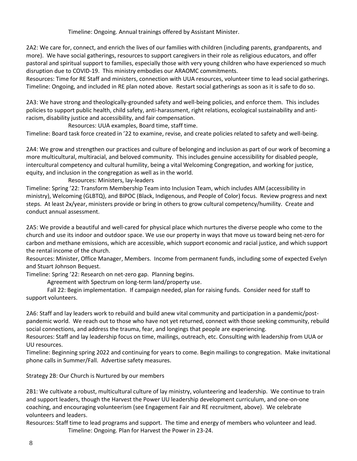Timeline: Ongoing. Annual trainings offered by Assistant Minister.

2A2: We care for, connect, and enrich the lives of our families with children (including parents, grandparents, and more). We have social gatherings, resources to support caregivers in their role as religious educators, and offer pastoral and spiritual support to families, especially those with very young children who have experienced so much disruption due to COVID-19. This ministry embodies our ARAOMC commitments.

Resources: Time for RE Staff and ministers, connection with UUA resources, volunteer time to lead social gatherings. Timeline: Ongoing, and included in RE plan noted above. Restart social gatherings as soon as it is safe to do so.

2A3: We have strong and theologically-grounded safety and well-being policies, and enforce them. This includes policies to support public health, child safety, anti-harassment, right relations, ecological sustainability and antiracism, disability justice and accessibility, and fair compensation.

Resources: UUA examples, Board time, staff time.

Timeline: Board task force created in '22 to examine, revise, and create policies related to safety and well-being.

2A4: We grow and strengthen our practices and culture of belonging and inclusion as part of our work of becoming a more multicultural, multiracial, and beloved community. This includes genuine accessibility for disabled people, intercultural competency and cultural humility, being a vital Welcoming Congregation, and working for justice, equity, and inclusion in the congregation as well as in the world.

#### Resources: Ministers, lay-leaders

Timeline: Spring '22: Transform Membership Team into Inclusion Team, which includes AIM (accessibility in ministry), Welcoming (GLBTQ), and BIPOC (Black, Indigenous, and People of Color) focus. Review progress and next steps. At least 2x/year, ministers provide or bring in others to grow cultural competency/humility. Create and conduct annual assessment.

2A5: We provide a beautiful and well-cared for physical place which nurtures the diverse people who come to the church and use its indoor and outdoor space. We use our property in ways that move us toward being net-zero for carbon and methane emissions, which are accessible, which support economic and racial justice, and which support the rental income of the church.

Resources: Minister, Office Manager, Members. Income from permanent funds, including some of expected Evelyn and Stuart Johnson Bequest.

Timeline: Spring '22: Research on net-zero gap. Planning begins.

Agreement with Spectrum on long-term land/property use.

Fall 22: Begin implementation. If campaign needed, plan for raising funds. Consider need for staff to support volunteers.

2A6: Staff and lay leaders work to rebuild and build anew vital community and participation in a pandemic/postpandemic world. We reach out to those who have not yet returned, connect with those seeking community, rebuild social connections, and address the trauma, fear, and longings that people are experiencing.

Resources: Staff and lay leadership focus on time, mailings, outreach, etc. Consulting with leadership from UUA or UU resources.

Timeline: Beginning spring 2022 and continuing for years to come. Begin mailings to congregation. Make invitational phone calls in Summer/Fall. Advertise safety measures.

Strategy 2B: Our Church is Nurtured by our members

2B1: We cultivate a robust, multicultural culture of lay ministry, volunteering and leadership. We continue to train and support leaders, though the Harvest the Power UU leadership development curriculum, and one-on-one coaching, and encouraging volunteerism (see Engagement Fair and RE recruitment, above). We celebrate volunteers and leaders.

Resources: Staff time to lead programs and support. The time and energy of members who volunteer and lead. Timeline: Ongoing. Plan for Harvest the Power in 23-24.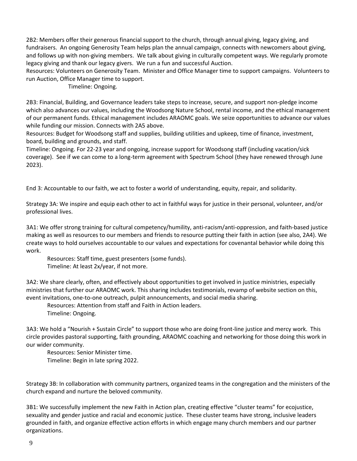2B2: Members offer their generous financial support to the church, through annual giving, legacy giving, and fundraisers. An ongoing Generosity Team helps plan the annual campaign, connects with newcomers about giving, and follows up with non-giving members. We talk about giving in culturally competent ways. We regularly promote legacy giving and thank our legacy givers. We run a fun and successful Auction.

Resources: Volunteers on Generosity Team. Minister and Office Manager time to support campaigns. Volunteers to run Auction, Office Manager time to support.

Timeline: Ongoing.

2B3: Financial, Building, and Governance leaders take steps to increase, secure, and support non-pledge income which also advances our values, including the Woodsong Nature School, rental income, and the ethical management of our permanent funds. Ethical management includes ARAOMC goals. We seize opportunities to advance our values while funding our mission. Connects with 2A5 above.

Resources: Budget for Woodsong staff and supplies, building utilities and upkeep, time of finance, investment, board, building and grounds, and staff.

Timeline: Ongoing. For 22-23 year and ongoing, increase support for Woodsong staff (including vacation/sick coverage). See if we can come to a long-term agreement with Spectrum School (they have renewed through June 2023).

End 3: Accountable to our faith, we act to foster a world of understanding, equity, repair, and solidarity.

Strategy 3A: We inspire and equip each other to act in faithful ways for justice in their personal, volunteer, and/or professional lives.

3A1: We offer strong training for cultural competency/humility, anti-racism/anti-oppression, and faith-based justice making as well as resources to our members and friends to resource putting their faith in action (see also, 2A4). We create ways to hold ourselves accountable to our values and expectations for covenantal behavior while doing this work.

Resources: Staff time, guest presenters (some funds). Timeline: At least 2x/year, if not more.

3A2: We share clearly, often, and effectively about opportunities to get involved in justice ministries, especially ministries that further our ARAOMC work. This sharing includes testimonials, revamp of website section on this, event invitations, one-to-one outreach, pulpit announcements, and social media sharing.

Resources: Attention from staff and Faith in Action leaders.

Timeline: Ongoing.

3A3: We hold a "Nourish + Sustain Circle" to support those who are doing front-line justice and mercy work. This circle provides pastoral supporting, faith grounding, ARAOMC coaching and networking for those doing this work in our wider community.

Resources: Senior Minister time.

Timeline: Begin in late spring 2022.

Strategy 3B: In collaboration with community partners, organized teams in the congregation and the ministers of the church expand and nurture the beloved community.

3B1: We successfully implement the new Faith in Action plan, creating effective "cluster teams" for ecojustice, sexuality and gender justice and racial and economic justice. These cluster teams have strong, inclusive leaders grounded in faith, and organize effective action efforts in which engage many church members and our partner organizations.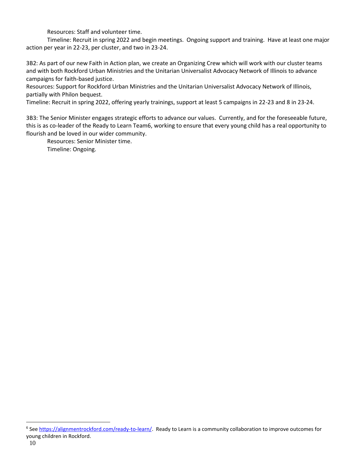Resources: Staff and volunteer time.

Timeline: Recruit in spring 2022 and begin meetings. Ongoing support and training. Have at least one major action per year in 22-23, per cluster, and two in 23-24.

3B2: As part of our new Faith in Action plan, we create an Organizing Crew which will work with our cluster teams and with both Rockford Urban Ministries and the Unitarian Universalist Advocacy Network of Illinois to advance campaigns for faith-based justice.

Resources: Support for Rockford Urban Ministries and the Unitarian Universalist Advocacy Network of Illinois, partially with Philon bequest.

Timeline: Recruit in spring 2022, offering yearly trainings, support at least 5 campaigns in 22-23 and 8 in 23-24.

3B3: The Senior Minister engages strategic efforts to advance our values. Currently, and for the foreseeable future, this is as co-leader of the Ready to Learn Team6, working to ensure that every young child has a real opportunity to flourish and be loved in our wider community.

Resources: Senior Minister time.

Timeline: Ongoing.

<sup>&</sup>lt;sup>6</sup> See [https://alignmentrockford.com/ready-to-learn/.](https://alignmentrockford.com/ready-to-learn/) Ready to Learn is a community collaboration to improve outcomes for young children in Rockford.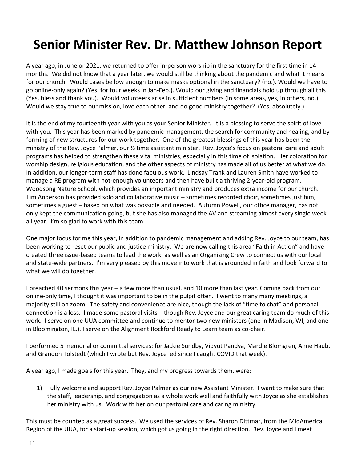# **Senior Minister Rev. Dr. Matthew Johnson Report**

A year ago, in June or 2021, we returned to offer in-person worship in the sanctuary for the first time in 14 months. We did not know that a year later, we would still be thinking about the pandemic and what it means for our church. Would cases be low enough to make masks optional in the sanctuary? (no.). Would we have to go online-only again? (Yes, for four weeks in Jan-Feb.). Would our giving and financials hold up through all this (Yes, bless and thank you). Would volunteers arise in sufficient numbers (in some areas, yes, in others, no.). Would we stay true to our mission, love each other, and do good ministry together? (Yes, absolutely.)

It is the end of my fourteenth year with you as your Senior Minister. It is a blessing to serve the spirit of love with you. This year has been marked by pandemic management, the search for community and healing, and by forming of new structures for our work together. One of the greatest blessings of this year has been the ministry of the Rev. Joyce Palmer, our ½ time assistant minister. Rev. Joyce's focus on pastoral care and adult programs has helped to strengthen these vital ministries, especially in this time of isolation. Her coloration for worship design, religious education, and the other aspects of ministry has made all of us better at what we do. In addition, our longer-term staff has done fabulous work. Lindsay Trank and Lauren Smith have worked to manage a RE program with not-enough volunteers and then have built a thriving 2-year-old program, Woodsong Nature School, which provides an important ministry and produces extra income for our church. Tim Anderson has provided solo and collaborative music – sometimes recorded choir, sometimes just him, sometimes a guest – based on what was possible and needed. Autumn Powell, our office manager, has not only kept the communication going, but she has also managed the AV and streaming almost every single week all year. I'm so glad to work with this team.

One major focus for me this year, in addition to pandemic management and adding Rev. Joyce to our team, has been working to reset our public and justice ministry. We are now calling this area "Faith in Action" and have created three issue-based teams to lead the work, as well as an Organizing Crew to connect us with our local and state-wide partners. I'm very pleased by this move into work that is grounded in faith and look forward to what we will do together.

I preached 40 sermons this year – a few more than usual, and 10 more than last year. Coming back from our online-only time, I thought it was important to be in the pulpit often. I went to many many meetings, a majority still on zoom. The safety and convenience are nice, though the lack of "time to chat" and personal connection is a loss. I made some pastoral visits – though Rev. Joyce and our great caring team do much of this work. I serve on one UUA committee and continue to mentor two new ministers (one in Madison, WI, and one in Bloomington, IL.). I serve on the Alignment Rockford Ready to Learn team as co-chair.

I performed 5 memorial or committal services: for Jackie Sundby, Vidyut Pandya, Mardie Blomgren, Anne Haub, and Grandon Tolstedt (which I wrote but Rev. Joyce led since I caught COVID that week).

A year ago, I made goals for this year. They, and my progress towards them, were:

1) Fully welcome and support Rev. Joyce Palmer as our new Assistant Minister. I want to make sure that the staff, leadership, and congregation as a whole work well and faithfully with Joyce as she establishes her ministry with us. Work with her on our pastoral care and caring ministry.

This must be counted as a great success. We used the services of Rev. Sharon Dittmar, from the MidAmerica Region of the UUA, for a start-up session, which got us going in the right direction. Rev. Joyce and I meet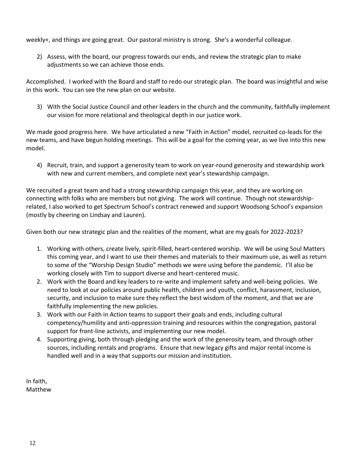weekly+, and things are going great. Our pastoral ministry is strong. She's a wonderful colleague.

2) Assess, with the board, our progress towards our ends, and review the strategic plan to make adjustments so we can achieve those ends.

Accomplished. I worked with the Board and staff to redo our strategic plan. The board was insightful and wise in this work. You can see the new plan on our website.

3) With the Social Justice Council and other leaders in the church and the community, faithfully implement our vision for more relational and theological depth in our justice work.

We made good progress here. We have articulated a new "Faith in Action" model, recruited co-leads for the new teams, and have begun holding meetings. This will be a goal for the coming year, as we live into this new model.

4) Recruit, train, and support a generosity team to work on year-round generosity and stewardship work with new and current members, and complete next year's stewardship campaign.

We recruited a great team and had a strong stewardship campaign this year, and they are working on connecting with folks who are members but not giving. The work will continue. Though not stewardshiprelated, I also worked to get Spectrum School's contract renewed and support Woodsong School's expansion (mostly by cheering on Lindsay and Lauren).

Given both our new strategic plan and the realities of the moment, what are my goals for 2022-2023?

- 1. Working with others, create lively, spirit-filled, heart-centered worship. We will be using Soul Matters this coming year, and I want to use their themes and materials to their maximum use, as well as return to some of the "Worship Design Studio" methods we were using before the pandemic. I'll also be working closely with Tim to support diverse and heart-centered music.
- 2. Work with the Board and key leaders to re-write and implement safety and well-being policies. We need to look at our policies around public health, children and youth, conflict, harassment, inclusion, security, and inclusion to make sure they reflect the best wisdom of the moment, and that we are faithfully implementing the new policies.
- 3. Work with our Faith in Action teams to support their goals and ends, including cultural competency/humility and anti-oppression training and resources within the congregation, pastoral support for front-line activists, and implementing our new model.
- 4. Supporting giving, both through pledging and the work of the generosity team, and through other sources, including rentals and programs. Ensure that new legacy gifts and major rental income is handled well and in a way that supports our mission and institution.

In faith, Matthew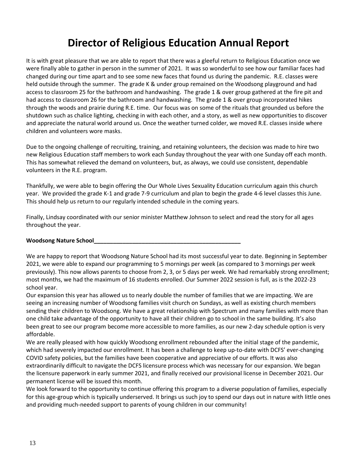### **Director of Religious Education Annual Report**

It is with great pleasure that we are able to report that there was a gleeful return to Religious Education once we were finally able to gather in person in the summer of 2021. It was so wonderful to see how our familiar faces had changed during our time apart and to see some new faces that found us during the pandemic. R.E. classes were held outside through the summer. The grade K & under group remained on the Woodsong playground and had access to classroom 25 for the bathroom and handwashing. The grade 1 & over group gathered at the fire pit and had access to classroom 26 for the bathroom and handwashing. The grade 1 & over group incorporated hikes through the woods and prairie during R.E. time. Our focus was on some of the rituals that grounded us before the shutdown such as chalice lighting, checking in with each other, and a story, as well as new opportunities to discover and appreciate the natural world around us. Once the weather turned colder, we moved R.E. classes inside where children and volunteers wore masks.

Due to the ongoing challenge of recruiting, training, and retaining volunteers, the decision was made to hire two new Religious Education staff members to work each Sunday throughout the year with one Sunday off each month. This has somewhat relieved the demand on volunteers, but, as always, we could use consistent, dependable volunteers in the R.E. program.

Thankfully, we were able to begin offering the Our Whole Lives Sexuality Education curriculum again this church year. We provided the grade K-1 and grade 7-9 curriculum and plan to begin the grade 4-6 level classes this June. This should help us return to our regularly intended schedule in the coming years.

Finally, Lindsay coordinated with our senior minister Matthew Johnson to select and read the story for all ages throughout the year.

#### **Woodsong Nature School\_\_\_\_\_\_\_\_\_\_\_\_\_\_\_\_\_\_\_\_\_\_\_\_\_\_\_\_\_\_\_\_\_\_\_\_\_\_\_\_\_\_\_\_\_\_**

We are happy to report that Woodsong Nature School had its most successful year to date. Beginning in September 2021, we were able to expand our programming to 5 mornings per week (as compared to 3 mornings per week previously). This now allows parents to choose from 2, 3, or 5 days per week. We had remarkably strong enrollment; most months, we had the maximum of 16 students enrolled. Our Summer 2022 session is full, as is the 2022-23 school year.

Our expansion this year has allowed us to nearly double the number of families that we are impacting. We are seeing an increasing number of Woodsong families visit church on Sundays, as well as existing church members sending their children to Woodsong. We have a great relationship with Spectrum and many families with more than one child take advantage of the opportunity to have all their children go to school in the same building. It's also been great to see our program become more accessible to more families, as our new 2-day schedule option is very affordable.

We are really pleased with how quickly Woodsong enrollment rebounded after the initial stage of the pandemic, which had severely impacted our enrollment. It has been a challenge to keep up-to-date with DCFS' ever-changing COVID safety policies, but the families have been cooperative and appreciative of our efforts. It was also extraordinarily difficult to navigate the DCFS licensure process which was necessary for our expansion. We began the licensure paperwork in early summer 2021, and finally received our provisional license in December 2021. Our permanent license will be issued this month.

We look forward to the opportunity to continue offering this program to a diverse population of families, especially for this age-group which is typically underserved. It brings us such joy to spend our days out in nature with little ones and providing much-needed support to parents of young children in our community!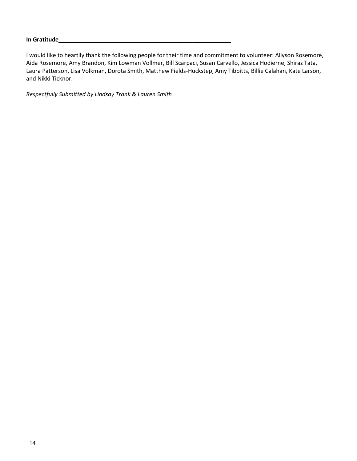#### **In Gratitude\_\_\_\_\_\_\_\_\_\_\_\_\_\_\_\_\_\_\_\_\_\_\_\_\_\_\_\_\_\_\_\_\_\_\_\_\_\_\_\_\_\_\_\_\_\_\_\_\_\_\_\_\_\_**

I would like to heartily thank the following people for their time and commitment to volunteer: Allyson Rosemore, Aida Rosemore, Amy Brandon, Kim Lowman Vollmer, Bill Scarpaci, Susan Carvello, Jessica Hodierne, Shiraz Tata, Laura Patterson, Lisa Volkman, Dorota Smith, Matthew Fields-Huckstep, Amy Tibbitts, Billie Calahan, Kate Larson, and Nikki Ticknor.

*Respectfully Submitted by Lindsay Trank & Lauren Smith*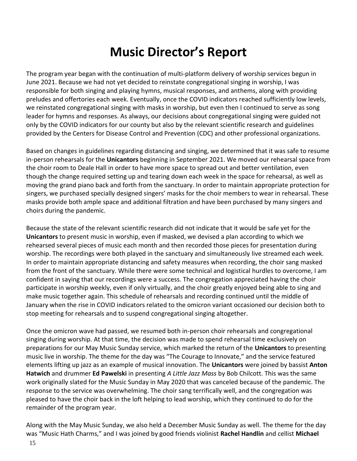# **Music Director's Report**

<span id="page-14-0"></span>The program year began with the continuation of multi-platform delivery of worship services begun in June 2021. Because we had not yet decided to reinstate congregational singing in worship, I was responsible for both singing and playing hymns, musical responses, and anthems, along with providing preludes and offertories each week. Eventually, once the COVID indicators reached sufficiently low levels, we reinstated congregational singing with masks in worship, but even then I continued to serve as song leader for hymns and responses. As always, our decisions about congregational singing were guided not only by the COVID indicators for our county but also by the relevant scientific research and guidelines provided by the Centers for Disease Control and Prevention (CDC) and other professional organizations.

Based on changes in guidelines regarding distancing and singing, we determined that it was safe to resume in-person rehearsals for the **Unicantors** beginning in September 2021. We moved our rehearsal space from the choir room to Deale Hall in order to have more space to spread out and better ventilation, even though the change required setting up and tearing down each week in the space for rehearsal, as well as moving the grand piano back and forth from the sanctuary. In order to maintain appropriate protection for singers, we purchased specially designed singers' masks for the choir members to wear in rehearsal. These masks provide both ample space and additional filtration and have been purchased by many singers and choirs during the pandemic.

Because the state of the relevant scientific research did not indicate that it would be safe yet for the **Unicantors** to present music in worship, even if masked, we devised a plan according to which we rehearsed several pieces of music each month and then recorded those pieces for presentation during worship. The recordings were both played in the sanctuary and simultaneously live streamed each week. In order to maintain appropriate distancing and safety measures when recording, the choir sang masked from the front of the sanctuary. While there were some technical and logistical hurdles to overcome, I am confident in saying that our recordings were a success. The congregation appreciated having the choir participate in worship weekly, even if only virtually, and the choir greatly enjoyed being able to sing and make music together again. This schedule of rehearsals and recording continued until the middle of January when the rise in COVID indicators related to the omicron variant occasioned our decision both to stop meeting for rehearsals and to suspend congregational singing altogether.

Once the omicron wave had passed, we resumed both in-person choir rehearsals and congregational singing during worship. At that time, the decision was made to spend rehearsal time exclusively on preparations for our May Music Sunday service, which marked the return of the **Unicantors** to presenting music live in worship. The theme for the day was "The Courage to Innovate," and the service featured elements lifting up jazz as an example of musical innovation. The **Unicantors** were joined by bassist **Anton Hatwich** and drummer **Ed Pawelski** in presenting *A Little Jazz Mass* by Bob Chilcott. This was the same work originally slated for the Music Sunday in May 2020 that was canceled because of the pandemic. The response to the service was overwhelming. The choir sang terrifically well, and the congregation was pleased to have the choir back in the loft helping to lead worship, which they continued to do for the remainder of the program year.

Along with the May Music Sunday, we also held a December Music Sunday as well. The theme for the day was "Music Hath Charms," and I was joined by good friends violinist **Rachel Handlin** and cellist **Michael**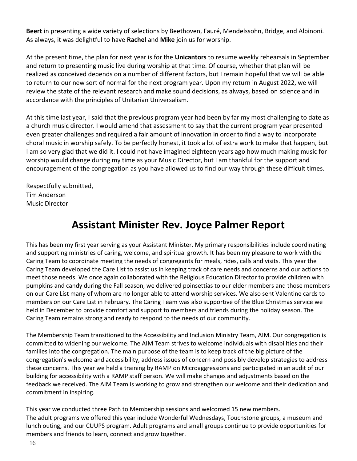**Beert** in presenting a wide variety of selections by Beethoven, Fauré, Mendelssohn, Bridge, and Albinoni. As always, it was delightful to have **Rachel** and **Mike** join us for worship.

At the present time, the plan for next year is for the **Unicantors** to resume weekly rehearsals in September and return to presenting music live during worship at that time. Of course, whether that plan will be realized as conceived depends on a number of different factors, but I remain hopeful that we will be able to return to our new sort of normal for the next program year. Upon my return in August 2022, we will review the state of the relevant research and make sound decisions, as always, based on science and in accordance with the principles of Unitarian Universalism.

At this time last year, I said that the previous program year had been by far my most challenging to date as a church music director. I would amend that assessment to say that the current program year presented even greater challenges and required a fair amount of innovation in order to find a way to incorporate choral music in worship safely. To be perfectly honest, it took a lot of extra work to make that happen, but I am so very glad that we did it. I could not have imagined eighteen years ago how much making music for worship would change during my time as your Music Director, but I am thankful for the support and encouragement of the congregation as you have allowed us to find our way through these difficult times.

Respectfully submitted, Tim Anderson Music Director

### **Assistant Minister Rev. Joyce Palmer Report**

This has been my first year serving as your Assistant Minister. My primary responsibilities include coordinating and supporting ministries of caring, welcome, and spiritual growth. It has been my pleasure to work with the Caring Team to coordinate meeting the needs of congregants for meals, rides, calls and visits. This year the Caring Team developed the Care List to assist us in keeping track of care needs and concerns and our actions to meet those needs. We once again collaborated with the Religious Education Director to provide children with pumpkins and candy during the Fall season, we delivered poinsettias to our elder members and those members on our Care List many of whom are no longer able to attend worship services. We also sent Valentine cards to members on our Care List in February. The Caring Team was also supportive of the Blue Christmas service we held in December to provide comfort and support to members and friends during the holiday season. The Caring Team remains strong and ready to respond to the needs of our community.

The Membership Team transitioned to the Accessibility and Inclusion Ministry Team, AIM. Our congregation is committed to widening our welcome. The AIM Team strives to welcome individuals with disabilities and their families into the congregation. The main purpose of the team is to keep track of the big picture of the congregation's welcome and accessibility, address issues of concern and possibly develop strategies to address these concerns. This year we held a training by RAMP on Microaggressions and participated in an audit of our building for accessibility with a RAMP staff person. We will make changes and adjustments based on the feedback we received. The AIM Team is working to grow and strengthen our welcome and their dedication and commitment in inspiring.

This year we conducted three Path to Membership sessions and welcomed 15 new members. The adult programs we offered this year include Wonderful Wednesdays, Touchstone groups, a museum and lunch outing, and our CUUPS program. Adult programs and small groups continue to provide opportunities for members and friends to learn, connect and grow together.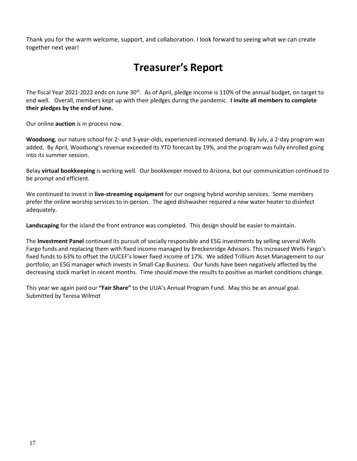<span id="page-16-0"></span>Thank you for the warm welcome, support, and collaboration. I look forward to seeing what we can create together next year!

### **Treasurer's Report**

The fiscal Year 2021-2022 ends on June 30<sup>th</sup>. As of April, pledge income is 110% of the annual budget, on target to end well. Overall, members kept up with their pledges during the pandemic. **I invite all members to complete their pledges by the end of June.** 

Our online **auction** is in process now.

**Woodsong**, our nature school for 2- and 3-year-olds, experienced increased demand. By July, a 2-day program was added. By April, Woodsong's revenue exceeded its YTD forecast by 19%, and the program was fully enrolled going into its summer session.

Belay **virtual bookkeeping** is working well. Our bookkeeper moved to Arizona, but our communication continued to be prompt and efficient.

We continued to invest in **live-streaming equipment** for our ongoing hybrid worship services. Some members prefer the online worship services to in-person. The aged dishwasher required a new water heater to disinfect adequately.

**Landscaping** for the island the front entrance was completed. This design should be easier to maintain.

The **Investment Panel** continued its pursuit of socially responsible and ESG investments by selling several Wells Fargo funds and replacing them with fixed income managed by Breckenridge Advisors. This increased Wells Fargo's fixed funds to 63% to offset the UUCEF's lower fixed income of 17%. We added Trillium Asset Management to our portfolio, an ESG manager which invests in Small-Cap Business. Our funds have been negatively affected by the decreasing stock market in recent months. Time should move the results to positive as market conditions change.

This year we again paid our **"Fair Share"** to the UUA's Annual Program Fund. May this be an annual goal. Submitted by Teresa Wilmot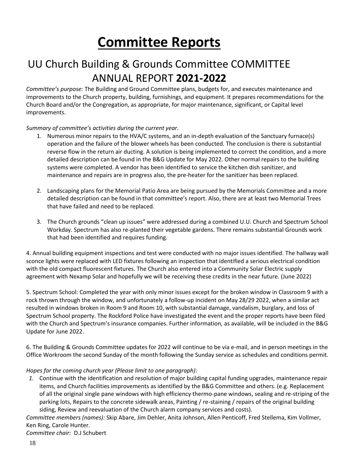# **Committee Reports**

### UU Church Building & Grounds Committee COMMITTEE ANNUAL REPORT **2021-2022**

*Committee's purpose:* The Building and Ground Committee plans, budgets for, and executes maintenance and improvements to the Church property, building, furnishings, and equipment. It prepares recommendations for the Church Board and/or the Congregation, as appropriate, for major maintenance, significant, or Capital level improvements.

#### *Summary of committee's activities during the current year.*

- 1. Numerous minor repairs to the HVA/C systems, and an in-depth evaluation of the Sanctuary furnace(s) operation and the failure of the blower wheels has been conducted. The conclusion is there is substantial reverse flow in the return air ducting. A solution is being implemented to correct the condition, and a more detailed description can be found in the B&G Update for May 2022. Other normal repairs to the building systems were completed. A vendor has been identified to service the kitchen dish sanitizer, and maintenance and repairs are in progress also, the pre-heater for the sanitizer has been replaced.
- 2. Landscaping plans for the Memorial Patio Area are being pursued by the Memorials Committee and a more detailed description can be found in that committee's report. Also, there are at least two Memorial Trees that have failed and need to be replaced.
- 3. The Church grounds "clean up issues" were addressed during a combined U.U. Church and Spectrum School Workday. Spectrum has also re-planted their vegetable gardens. There remains substantial Grounds work that had been identified and requires funding.

4. Annual building equipment inspections and test were conducted with no major issues identified. The hallway wall sconce lights were replaced with LED fixtures following an inspection that identified a serious electrical condition with the old compact fluorescent fixtures. The Church also entered into a Community Solar Electric supply agreement with Nexamp Solar and hopefully we will be receiving these credits in the near future. (June 2022)

5. Spectrum School: Completed the year with only minor issues except for the broken window in Classroom 9 with a rock thrown through the window, and unfortunately a follow-up incident on May 28/29 2022, when a similar act resulted in windows broken in Room 9 and Room 10, with substantial damage, vandalism, burglary, and loss of Spectrum School property. The Rockford Police have investigated the event and the proper reports have been filed with the Church and Spectrum's insurance companies. Further information, as available, will be included in the B&G Update for June 2022.

6. The Building & Grounds Committee updates for 2022 will continue to be via e-mail, and in person meetings in the Office Workroom the second Sunday of the month following the Sunday service as schedules and conditions permit.

#### *Hopes for the coming church year (Please limit to one paragraph):*

*1.* Continue with the identification and resolution of major building capital funding upgrades, maintenance repair items, and Church facilities improvements as identified by the B&G Committee and others. (e.g. Replacement of all the original single pane windows with high efficiency thermo-pane windows, sealing and re-striping of the parking lots, Repairs to the concrete sidewalk areas, Painting / re-staining / repairs of the original building siding, Review and reevaluation of the Church alarm company services and costs).

*Committee members (names):* Skip Abare, Jim Dehler, Anita Johnson, Allen Penticoff, Fred Stellema, Kim Vollmer, Ken Ring, Carole Hunter.

*Committee chair:* D.J Schubert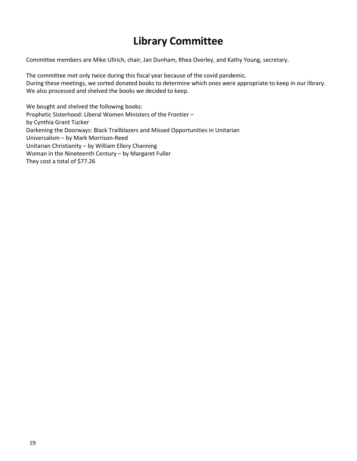### **Library Committee**

Committee members are Mike Ullrich, chair, Jan Dunham, Rhea Overley, and Kathy Young, secretary.

The committee met only twice during this fiscal year because of the covid pandemic. During these meetings, we sorted donated books to determine which ones were appropriate to keep in our library. We also processed and shelved the books we decided to keep.

We bought and shelved the following books: Prophetic Sisterhood: Liberal Women Ministers of the Frontier – by Cynthia Grant Tucker Darkening the Doorways: Black Trailblazers and Missed Opportunities in Unitarian Universalism – by Mark Morrison-Reed Unitarian Christianity – by William Ellery Channing Woman in the Nineteenth Century – by Margaret Fuller They cost a total of \$77.26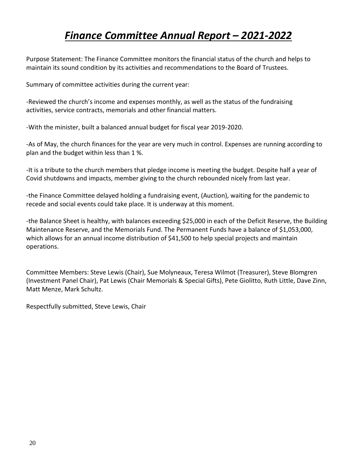### *Finance Committee Annual Report – 2021-2022*

Purpose Statement: The Finance Committee monitors the financial status of the church and helps to maintain its sound condition by its activities and recommendations to the Board of Trustees.

Summary of committee activities during the current year:

-Reviewed the church's income and expenses monthly, as well as the status of the fundraising activities, service contracts, memorials and other financial matters.

-With the minister, built a balanced annual budget for fiscal year 2019-2020.

-As of May, the church finances for the year are very much in control. Expenses are running according to plan and the budget within less than 1 %.

-It is a tribute to the church members that pledge income is meeting the budget. Despite half a year of Covid shutdowns and impacts, member giving to the church rebounded nicely from last year.

-the Finance Committee delayed holding a fundraising event, (Auction), waiting for the pandemic to recede and social events could take place. It is underway at this moment.

-the Balance Sheet is healthy, with balances exceeding \$25,000 in each of the Deficit Reserve, the Building Maintenance Reserve, and the Memorials Fund. The Permanent Funds have a balance of \$1,053,000, which allows for an annual income distribution of \$41,500 to help special projects and maintain operations.

Committee Members: Steve Lewis (Chair), Sue Molyneaux, Teresa Wilmot (Treasurer), Steve Blomgren (Investment Panel Chair), Pat Lewis (Chair Memorials & Special Gifts), Pete Giolitto, Ruth Little, Dave Zinn, Matt Menze, Mark Schultz.

Respectfully submitted, Steve Lewis, Chair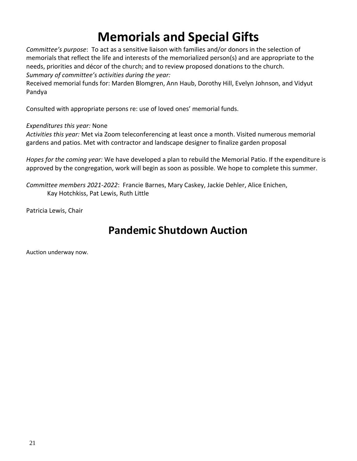# **Memorials and Special Gifts**

*Committee's purpose*: To act as a sensitive liaison with families and/or donors in the selection of memorials that reflect the life and interests of the memorialized person(s) and are appropriate to the needs, priorities and décor of the church; and to review proposed donations to the church.

*Summary of committee's activities during the year:*

Received memorial funds for: Marden Blomgren, Ann Haub, Dorothy Hill, Evelyn Johnson, and Vidyut Pandya

Consulted with appropriate persons re: use of loved ones' memorial funds.

#### *Expenditures this year:* None

*Activities this year:* Met via Zoom teleconferencing at least once a month. Visited numerous memorial gardens and patios. Met with contractor and landscape designer to finalize garden proposal

*Hopes for the coming year:* We have developed a plan to rebuild the Memorial Patio. If the expenditure is approved by the congregation, work will begin as soon as possible. We hope to complete this summer.

*Committee members 2021-2022*: Francie Barnes, Mary Caskey, Jackie Dehler, Alice Enichen, Kay Hotchkiss, Pat Lewis, Ruth Little

Patricia Lewis, Chair

### **Pandemic Shutdown Auction**

Auction underway now.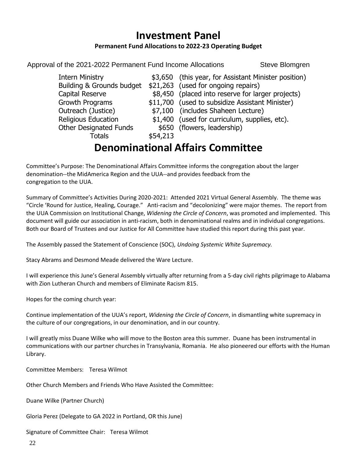#### **Investment Panel**

#### **Permanent Fund Allocations to 2022-23 Operating Budget**

<span id="page-21-0"></span>Approval of the 2021-2022 Permanent Fund Income Allocations Steve Blomgren

| <b>Intern Ministry</b>        |          | \$3,650 (this year, for Assistant Minister position) |
|-------------------------------|----------|------------------------------------------------------|
| Building & Grounds budget     |          | \$21,263 (used for ongoing repairs)                  |
| Capital Reserve               |          | \$8,450 (placed into reserve for larger projects)    |
| Growth Programs               |          | \$11,700 (used to subsidize Assistant Minister)      |
| Outreach (Justice)            |          | \$7,100 (includes Shaheen Lecture)                   |
| <b>Religious Education</b>    |          | \$1,400 (used for curriculum, supplies, etc).        |
| <b>Other Designated Funds</b> |          | \$650 (flowers, leadership)                          |
| Totals                        | \$54,213 |                                                      |

### **Denominational Affairs Committee**

<span id="page-21-1"></span>Committee's Purpose: The Denominational Affairs Committee informs the congregation about the larger denomination--the MidAmerica Region and the UUA--and provides feedback from the congregation to the UUA.

Summary of Committee's Activities During 2020-2021: Attended 2021 Virtual General Assembly. The theme was "Circle 'Round for Justice, Healing, Courage." Anti-racism and "decolonizing" were major themes. The report from the UUA Commission on Institutional Change, *Widening the Circle of Concern*, was promoted and implemented. This document will guide our association in anti-racism, both in denominational realms and in individual congregations. Both our Board of Trustees and our Justice for All Committee have studied this report during this past year.

The Assembly passed the Statement of Conscience (SOC), *Undoing Systemic White Supremacy.*

Stacy Abrams and Desmond Meade delivered the Ware Lecture.

I will experience this June's General Assembly virtually after returning from a 5-day civil rights pilgrimage to Alabama with Zion Lutheran Church and members of Eliminate Racism 815.

Hopes for the coming church year:

Continue implementation of the UUA's report, *Widening the Circle of Concern*, in dismantling white supremacy in the culture of our congregations, in our denomination, and in our country.

I will greatly miss Duane Wilke who will move to the Boston area this summer. Duane has been instrumental in communications with our partner churches in Transylvania, Romania. He also pioneered our efforts with the Human Library.

Committee Members: Teresa Wilmot

Other Church Members and Friends Who Have Assisted the Committee:

Duane Wilke (Partner Church)

Gloria Perez (Delegate to GA 2022 in Portland, OR this June)

Signature of Committee Chair: Teresa Wilmot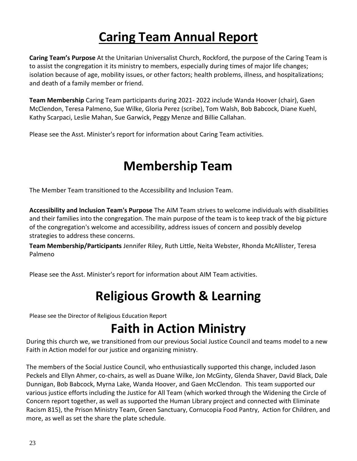# **Caring Team Annual Report**

**Caring Team's Purpose** At the Unitarian Universalist Church, Rockford, the purpose of the Caring Team is to assist the congregation it its ministry to members, especially during times of major life changes; isolation because of age, mobility issues, or other factors; health problems, illness, and hospitalizations; and death of a family member or friend.

**Team Membership** Caring Team participants during 2021- 2022 include Wanda Hoover (chair), Gaen McClendon, Teresa Palmeno, Sue Wilke, Gloria Perez (scribe), Tom Walsh, Bob Babcock, Diane Kuehl, Kathy Scarpaci, Leslie Mahan, Sue Garwick, Peggy Menze and Billie Callahan.

<span id="page-22-0"></span>Please see the Asst. Minister's report for information about Caring Team activities.

# **Membership Team**

The Member Team transitioned to the Accessibility and Inclusion Team.

**Accessibility and Inclusion Team's Purpose** The AIM Team strives to welcome individuals with disabilities and their families into the congregation. The main purpose of the team is to keep track of the big picture of the congregation's welcome and accessibility, address issues of concern and possibly develop strategies to address these concerns.

**Team Membership/Participants** Jennifer Riley, Ruth Little, Neita Webster, Rhonda McAllister, Teresa Palmeno

<span id="page-22-1"></span>Please see the Asst. Minister's report for information about AIM Team activities.

# **Religious Growth & Learning**

<span id="page-22-2"></span>Please see the Director of Religious Education Report

# **Faith in Action Ministry**

During this church we, we transitioned from our previous Social Justice Council and teams model to a new Faith in Action model for our justice and organizing ministry.

The members of the Social Justice Council, who enthusiastically supported this change, included Jason Peckels and Ellyn Ahmer, co-chairs, as well as Duane Wilke, Jon McGinty, Glenda Shaver, David Black, Dale Dunnigan, Bob Babcock, Myrna Lake, Wanda Hoover, and Gaen McClendon. This team supported our various justice efforts including the Justice for All Team (which worked through the Widening the Circle of Concern report together, as well as supported the Human Library project and connected with Eliminate Racism 815), the Prison Ministry Team, Green Sanctuary, Cornucopia Food Pantry, Action for Children, and more, as well as set the share the plate schedule.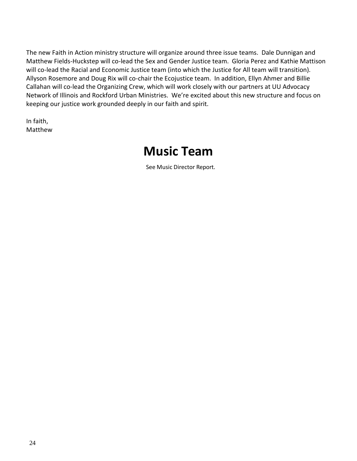The new Faith in Action ministry structure will organize around three issue teams. Dale Dunnigan and Matthew Fields-Huckstep will co-lead the Sex and Gender Justice team. Gloria Perez and Kathie Mattison will co-lead the Racial and Economic Justice team (into which the Justice for All team will transition). Allyson Rosemore and Doug Rix will co-chair the Ecojustice team. In addition, Ellyn Ahmer and Billie Callahan will co-lead the Organizing Crew, which will work closely with our partners at UU Advocacy Network of Illinois and Rockford Urban Ministries. We're excited about this new structure and focus on keeping our justice work grounded deeply in our faith and spirit.

<span id="page-23-0"></span>In faith, Matthew

### **Music Team**

See Music Director Report.